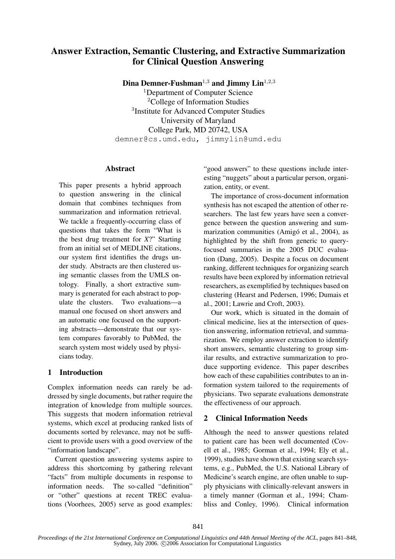# Answer Extraction, Semantic Clustering, and Extractive Summarization for Clinical Question Answering

Dina Demner-Fushman<sup>1,3</sup> and Jimmy Lin<sup>1,2,3</sup>

<sup>1</sup>Department of Computer Science <sup>2</sup>College of Information Studies 3 Institute for Advanced Computer Studies University of Maryland College Park, MD 20742, USA demner@cs.umd.edu, jimmylin@umd.edu

## **Abstract**

This paper presents a hybrid approach to question answering in the clinical domain that combines techniques from summarization and information retrieval. We tackle a frequently-occurring class of questions that takes the form "What is the best drug treatment for *X*?" Starting from an initial set of MEDLINE citations, our system first identifies the drugs under study. Abstracts are then clustered using semantic classes from the UMLS ontology. Finally, a short extractive summary is generated for each abstract to populate the clusters. Two evaluations—a manual one focused on short answers and an automatic one focused on the supporting abstracts—demonstrate that our system compares favorably to PubMed, the search system most widely used by physicians today.

# 1 Introduction

Complex information needs can rarely be addressed by single documents, but rather require the integration of knowledge from multiple sources. This suggests that modern information retrieval systems, which excel at producing ranked lists of documents sorted by relevance, may not be sufficient to provide users with a good overview of the "information landscape".

Current question answering systems aspire to address this shortcoming by gathering relevant "facts" from multiple documents in response to information needs. The so-called "definition" or "other" questions at recent TREC evaluations (Voorhees, 2005) serve as good examples: "good answers" to these questions include interesting "nuggets" about a particular person, organization, entity, or event.

The importance of cross-document information synthesis has not escaped the attention of other researchers. The last few years have seen a convergence between the question answering and summarization communities (Amigó et al., 2004), as highlighted by the shift from generic to queryfocused summaries in the 2005 DUC evaluation (Dang, 2005). Despite a focus on document ranking, different techniques for organizing search results have been explored by information retrieval researchers, as exemplified by techniques based on clustering (Hearst and Pedersen, 1996; Dumais et al., 2001; Lawrie and Croft, 2003).

Our work, which is situated in the domain of clinical medicine, lies at the intersection of question answering, information retrieval, and summarization. We employ answer extraction to identify short answers, semantic clustering to group similar results, and extractive summarization to produce supporting evidence. This paper describes how each of these capabilities contributes to an information system tailored to the requirements of physicians. Two separate evaluations demonstrate the effectiveness of our approach.

# 2 Clinical Information Needs

Although the need to answer questions related to patient care has been well documented (Covell et al., 1985; Gorman et al., 1994; Ely et al., 1999), studies have shown that existing search systems, e.g., PubMed, the U.S. National Library of Medicine's search engine, are often unable to supply physicians with clinically-relevant answers in a timely manner (Gorman et al., 1994; Chambliss and Conley, 1996). Clinical information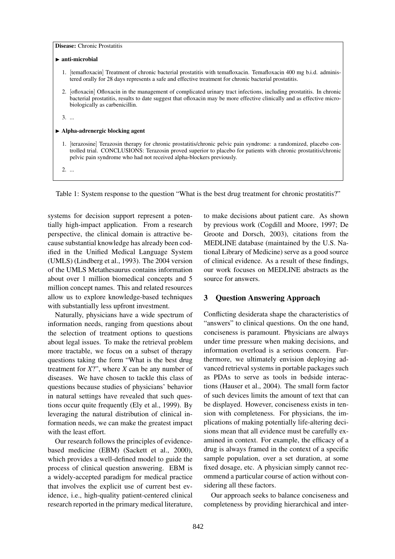|             | <b>Disease:</b> Chronic Prostatitis                                                                                                                                                                                                                                                                          |
|-------------|--------------------------------------------------------------------------------------------------------------------------------------------------------------------------------------------------------------------------------------------------------------------------------------------------------------|
|             | $\blacktriangleright$ anti-microbial                                                                                                                                                                                                                                                                         |
|             | 1. temafloxacin Treatment of chronic bacterial prostatitis with temafloxacin. Temafloxacin 400 mg b.i.d. adminis-<br>tered orally for 28 days represents a safe and effective treatment for chronic bacterial prostatitis.                                                                                   |
|             | 2. [offoxacin] Offoxacin in the management of complicated urinary tract infections, including prostatitis. In chronic<br>bacterial prostatitis, results to date suggest that ofloxacin may be more effective clinically and as effective micro-<br>biologically as carbenicillin.                            |
| $3.$        |                                                                                                                                                                                                                                                                                                              |
|             | $\blacktriangleright$ Alpha-adrenergic blocking agent                                                                                                                                                                                                                                                        |
|             | 1. [terazosine] Terazosin therapy for chronic prostatitis/chronic pelvic pain syndrome: a randomized, placebo con-<br>trolled trial. CONCLUSIONS: Terazosin proved superior to placebo for patients with chronic prostatitis/chronic<br>pelvic pain syndrome who had not received alpha-blockers previously. |
| $2. \ldots$ |                                                                                                                                                                                                                                                                                                              |

Table 1: System response to the question "What is the best drug treatment for chronic prostatitis?"

systems for decision support represent a potentially high-impact application. From a research perspective, the clinical domain is attractive because substantial knowledge has already been codified in the Unified Medical Language System (UMLS) (Lindberg et al., 1993). The 2004 version of the UMLS Metathesaurus contains information about over 1 million biomedical concepts and 5 million concept names. This and related resources allow us to explore knowledge-based techniques with substantially less upfront investment.

Naturally, physicians have a wide spectrum of information needs, ranging from questions about the selection of treatment options to questions about legal issues. To make the retrieval problem more tractable, we focus on a subset of therapy questions taking the form "What is the best drug treatment for *X*?", where *X* can be any number of diseases. We have chosen to tackle this class of questions because studies of physicians' behavior in natural settings have revealed that such questions occur quite frequently (Ely et al., 1999). By leveraging the natural distribution of clinical information needs, we can make the greatest impact with the least effort.

Our research follows the principles of evidencebased medicine (EBM) (Sackett et al., 2000), which provides a well-defined model to guide the process of clinical question answering. EBM is a widely-accepted paradigm for medical practice that involves the explicit use of current best evidence, i.e., high-quality patient-centered clinical research reported in the primary medical literature, to make decisions about patient care. As shown by previous work (Cogdill and Moore, 1997; De Groote and Dorsch, 2003), citations from the MEDLINE database (maintained by the U.S. National Library of Medicine) serve as a good source of clinical evidence. As a result of these findings, our work focuses on MEDLINE abstracts as the source for answers.

#### 3 Question Answering Approach

Conflicting desiderata shape the characteristics of "answers" to clinical questions. On the one hand, conciseness is paramount. Physicians are always under time pressure when making decisions, and information overload is a serious concern. Furthermore, we ultimately envision deploying advanced retrieval systems in portable packages such as PDAs to serve as tools in bedside interactions (Hauser et al., 2004). The small form factor of such devices limits the amount of text that can be displayed. However, conciseness exists in tension with completeness. For physicians, the implications of making potentially life-altering decisions mean that all evidence must be carefully examined in context. For example, the efficacy of a drug is always framed in the context of a specific sample population, over a set duration, at some fixed dosage, etc. A physician simply cannot recommend a particular course of action without considering all these factors.

Our approach seeks to balance conciseness and completeness by providing hierarchical and inter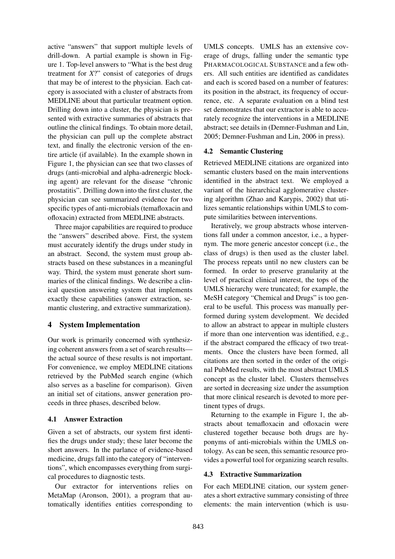active "answers" that support multiple levels of drill-down. A partial example is shown in Figure 1. Top-level answers to "What is the best drug treatment for *X*?" consist of categories of drugs that may be of interest to the physician. Each category is associated with a cluster of abstracts from MEDLINE about that particular treatment option. Drilling down into a cluster, the physician is presented with extractive summaries of abstracts that outline the clinical findings. To obtain more detail, the physician can pull up the complete abstract text, and finally the electronic version of the entire article (if available). In the example shown in Figure 1, the physician can see that two classes of drugs (anti-microbial and alpha-adrenergic blocking agent) are relevant for the disease "chronic prostatitis". Drilling down into the first cluster, the physician can see summarized evidence for two specific types of anti-microbials (temafloxacin and ofloxacin) extracted from MEDLINE abstracts.

Three major capabilities are required to produce the "answers" described above. First, the system must accurately identify the drugs under study in an abstract. Second, the system must group abstracts based on these substances in a meaningful way. Third, the system must generate short summaries of the clinical findings. We describe a clinical question answering system that implements exactly these capabilities (answer extraction, semantic clustering, and extractive summarization).

# 4 System Implementation

Our work is primarily concerned with synthesizing coherent answers from a set of search results the actual source of these results is not important. For convenience, we employ MEDLINE citations retrieved by the PubMed search engine (which also serves as a baseline for comparison). Given an initial set of citations, answer generation proceeds in three phases, described below.

## 4.1 Answer Extraction

Given a set of abstracts, our system first identifies the drugs under study; these later become the short answers. In the parlance of evidence-based medicine, drugs fall into the category of "interventions", which encompasses everything from surgical procedures to diagnostic tests.

Our extractor for interventions relies on MetaMap (Aronson, 2001), a program that automatically identifies entities corresponding to

UMLS concepts. UMLS has an extensive coverage of drugs, falling under the semantic type PHARMACOLOGICAL SUBSTANCE and a few others. All such entities are identified as candidates and each is scored based on a number of features: its position in the abstract, its frequency of occurrence, etc. A separate evaluation on a blind test set demonstrates that our extractor is able to accurately recognize the interventions in a MEDLINE abstract; see details in (Demner-Fushman and Lin, 2005; Demner-Fushman and Lin, 2006 in press).

## 4.2 Semantic Clustering

Retrieved MEDLINE citations are organized into semantic clusters based on the main interventions identified in the abstract text. We employed a variant of the hierarchical agglomerative clustering algorithm (Zhao and Karypis, 2002) that utilizes semantic relationships within UMLS to compute similarities between interventions.

Iteratively, we group abstracts whose interventions fall under a common ancestor, i.e., a hypernym. The more generic ancestor concept (i.e., the class of drugs) is then used as the cluster label. The process repeats until no new clusters can be formed. In order to preserve granularity at the level of practical clinical interest, the tops of the UMLS hierarchy were truncated; for example, the MeSH category "Chemical and Drugs" is too general to be useful. This process was manually performed during system development. We decided to allow an abstract to appear in multiple clusters if more than one intervention was identified, e.g., if the abstract compared the efficacy of two treatments. Once the clusters have been formed, all citations are then sorted in the order of the original PubMed results, with the most abstract UMLS concept as the cluster label. Clusters themselves are sorted in decreasing size under the assumption that more clinical research is devoted to more pertinent types of drugs.

Returning to the example in Figure 1, the abstracts about temafloxacin and ofloxacin were clustered together because both drugs are hyponyms of anti-microbials within the UMLS ontology. As can be seen, this semantic resource provides a powerful tool for organizing search results.

## 4.3 Extractive Summarization

For each MEDLINE citation, our system generates a short extractive summary consisting of three elements: the main intervention (which is usu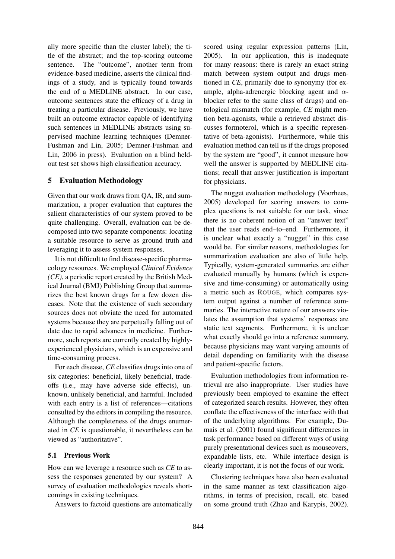ally more specific than the cluster label); the title of the abstract; and the top-scoring outcome sentence. The "outcome", another term from evidence-based medicine, asserts the clinical findings of a study, and is typically found towards the end of a MEDLINE abstract. In our case, outcome sentences state the efficacy of a drug in treating a particular disease. Previously, we have built an outcome extractor capable of identifying such sentences in MEDLINE abstracts using supervised machine learning techniques (Demner-Fushman and Lin, 2005; Demner-Fushman and Lin, 2006 in press). Evaluation on a blind heldout test set shows high classification accuracy.

#### 5 Evaluation Methodology

Given that our work draws from QA, IR, and summarization, a proper evaluation that captures the salient characteristics of our system proved to be quite challenging. Overall, evaluation can be decomposed into two separate components: locating a suitable resource to serve as ground truth and leveraging it to assess system responses.

It is not difficult to find disease-specific pharmacology resources. We employed *Clinical Evidence (CE)*, a periodic report created by the British Medical Journal (BMJ) Publishing Group that summarizes the best known drugs for a few dozen diseases. Note that the existence of such secondary sources does not obviate the need for automated systems because they are perpetually falling out of date due to rapid advances in medicine. Furthermore, such reports are currently created by highlyexperienced physicians, which is an expensive and time-consuming process.

For each disease, *CE* classifies drugs into one of six categories: beneficial, likely beneficial, tradeoffs (i.e., may have adverse side effects), unknown, unlikely beneficial, and harmful. Included with each entry is a list of references—citations consulted by the editors in compiling the resource. Although the completeness of the drugs enumerated in *CE* is questionable, it nevertheless can be viewed as "authoritative".

## 5.1 Previous Work

How can we leverage a resource such as *CE* to assess the responses generated by our system? A survey of evaluation methodologies reveals shortcomings in existing techniques.

Answers to factoid questions are automatically

scored using regular expression patterns (Lin, 2005). In our application, this is inadequate for many reasons: there is rarely an exact string match between system output and drugs mentioned in *CE*, primarily due to synonymy (for example, alpha-adrenergic blocking agent and  $\alpha$ blocker refer to the same class of drugs) and ontological mismatch (for example, *CE* might mention beta-agonists, while a retrieved abstract discusses formoterol, which is a specific representative of beta-agonists). Furthermore, while this evaluation method can tell us if the drugs proposed by the system are "good", it cannot measure how well the answer is supported by MEDLINE citations; recall that answer justification is important for physicians.

The nugget evaluation methodology (Voorhees, 2005) developed for scoring answers to complex questions is not suitable for our task, since there is no coherent notion of an "answer text" that the user reads end–to–end. Furthermore, it is unclear what exactly a "nugget" in this case would be. For similar reasons, methodologies for summarization evaluation are also of little help. Typically, system-generated summaries are either evaluated manually by humans (which is expensive and time-consuming) or automatically using a metric such as ROUGE, which compares system output against a number of reference summaries. The interactive nature of our answers violates the assumption that systems' responses are static text segments. Furthermore, it is unclear what exactly should go into a reference summary, because physicians may want varying amounts of detail depending on familiarity with the disease and patient-specific factors.

Evaluation methodologies from information retrieval are also inappropriate. User studies have previously been employed to examine the effect of categorized search results. However, they often conflate the effectiveness of the interface with that of the underlying algorithms. For example, Dumais et al. (2001) found significant differences in task performance based on different ways of using purely presentational devices such as mouseovers, expandable lists, etc. While interface design is clearly important, it is not the focus of our work.

Clustering techniques have also been evaluated in the same manner as text classification algorithms, in terms of precision, recall, etc. based on some ground truth (Zhao and Karypis, 2002).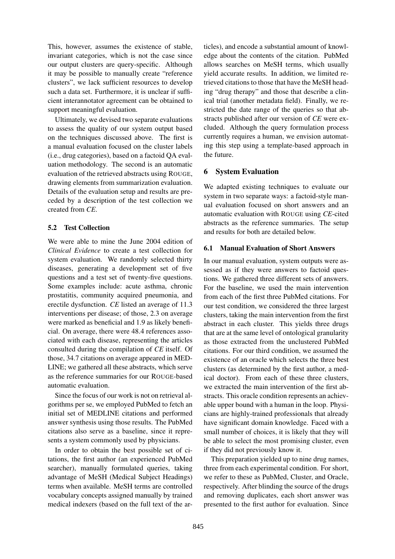This, however, assumes the existence of stable, invariant categories, which is not the case since our output clusters are query-specific. Although it may be possible to manually create "reference clusters", we lack sufficient resources to develop such a data set. Furthermore, it is unclear if sufficient interannotator agreement can be obtained to support meaningful evaluation.

Ultimately, we devised two separate evaluations to assess the quality of our system output based on the techniques discussed above. The first is a manual evaluation focused on the cluster labels (i.e., drug categories), based on a factoid QA evaluation methodology. The second is an automatic evaluation of the retrieved abstracts using ROUGE, drawing elements from summarization evaluation. Details of the evaluation setup and results are preceded by a description of the test collection we created from *CE*.

## 5.2 Test Collection

We were able to mine the June 2004 edition of *Clinical Evidence* to create a test collection for system evaluation. We randomly selected thirty diseases, generating a development set of five questions and a test set of twenty-five questions. Some examples include: acute asthma, chronic prostatitis, community acquired pneumonia, and erectile dysfunction. *CE* listed an average of 11.3 interventions per disease; of those, 2.3 on average were marked as beneficial and 1.9 as likely beneficial. On average, there were 48.4 references associated with each disease, representing the articles consulted during the compilation of *CE* itself. Of those, 34.7 citations on average appeared in MED-LINE; we gathered all these abstracts, which serve as the reference summaries for our ROUGE-based automatic evaluation.

Since the focus of our work is not on retrieval algorithms per se, we employed PubMed to fetch an initial set of MEDLINE citations and performed answer synthesis using those results. The PubMed citations also serve as a baseline, since it represents a system commonly used by physicians.

In order to obtain the best possible set of citations, the first author (an experienced PubMed searcher), manually formulated queries, taking advantage of MeSH (Medical Subject Headings) terms when available. MeSH terms are controlled vocabulary concepts assigned manually by trained medical indexers (based on the full text of the ar-

ticles), and encode a substantial amount of knowledge about the contents of the citation. PubMed allows searches on MeSH terms, which usually yield accurate results. In addition, we limited retrieved citations to those that have the MeSH heading "drug therapy" and those that describe a clinical trial (another metadata field). Finally, we restricted the date range of the queries so that abstracts published after our version of *CE* were excluded. Although the query formulation process currently requires a human, we envision automating this step using a template-based approach in the future.

# 6 System Evaluation

We adapted existing techniques to evaluate our system in two separate ways: a factoid-style manual evaluation focused on short answers and an automatic evaluation with ROUGE using *CE*-cited abstracts as the reference summaries. The setup and results for both are detailed below.

## 6.1 Manual Evaluation of Short Answers

In our manual evaluation, system outputs were assessed as if they were answers to factoid questions. We gathered three different sets of answers. For the baseline, we used the main intervention from each of the first three PubMed citations. For our test condition, we considered the three largest clusters, taking the main intervention from the first abstract in each cluster. This yields three drugs that are at the same level of ontological granularity as those extracted from the unclustered PubMed citations. For our third condition, we assumed the existence of an oracle which selects the three best clusters (as determined by the first author, a medical doctor). From each of these three clusters, we extracted the main intervention of the first abstracts. This oracle condition represents an achievable upper bound with a human in the loop. Physicians are highly-trained professionals that already have significant domain knowledge. Faced with a small number of choices, it is likely that they will be able to select the most promising cluster, even if they did not previously know it.

This preparation yielded up to nine drug names, three from each experimental condition. For short, we refer to these as PubMed, Cluster, and Oracle, respectively. After blinding the source of the drugs and removing duplicates, each short answer was presented to the first author for evaluation. Since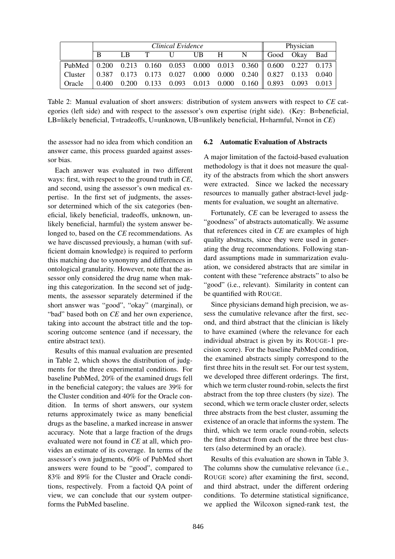|                                                                                                                  | Clinical Evidence |    |  |  |     |          |                                                                               | Physician             |  |     |
|------------------------------------------------------------------------------------------------------------------|-------------------|----|--|--|-----|----------|-------------------------------------------------------------------------------|-----------------------|--|-----|
|                                                                                                                  | B                 | LB |  |  | UB. | $\sim$ H | N                                                                             | $\parallel$ Good Okay |  | Bad |
| PubMed   $0.200$ $0.213$ $0.160$ $0.053$ $0.000$ $0.013$ $0.360$ $\parallel$ $0.600$ $0.227$ $0.173$ $\parallel$ |                   |    |  |  |     |          |                                                                               |                       |  |     |
| Cluster                                                                                                          |                   |    |  |  |     |          |                                                                               |                       |  |     |
| Oracle                                                                                                           |                   |    |  |  |     |          | $0.400$ $0.200$ $0.133$ $0.093$ $0.013$ $0.000$ $0.160$ 0.893 $0.093$ $0.013$ |                       |  |     |

Table 2: Manual evaluation of short answers: distribution of system answers with respect to *CE* categories (left side) and with respect to the assessor's own expertise (right side). (Key: B=beneficial, LB=likely beneficial, T=tradeoffs, U=unknown, UB=unlikely beneficial, H=harmful, N=not in *CE*)

the assessor had no idea from which condition an answer came, this process guarded against assessor bias.

Each answer was evaluated in two different ways: first, with respect to the ground truth in *CE*, and second, using the assessor's own medical expertise. In the first set of judgments, the assessor determined which of the six categories (beneficial, likely beneficial, tradeoffs, unknown, unlikely beneficial, harmful) the system answer belonged to, based on the *CE* recommendations. As we have discussed previously, a human (with sufficient domain knowledge) is required to perform this matching due to synonymy and differences in ontological granularity. However, note that the assessor only considered the drug name when making this categorization. In the second set of judgments, the assessor separately determined if the short answer was "good", "okay" (marginal), or "bad" based both on *CE* and her own experience, taking into account the abstract title and the topscoring outcome sentence (and if necessary, the entire abstract text).

Results of this manual evaluation are presented in Table 2, which shows the distribution of judgments for the three experimental conditions. For baseline PubMed, 20% of the examined drugs fell in the beneficial category; the values are 39% for the Cluster condition and 40% for the Oracle condition. In terms of short answers, our system returns approximately twice as many beneficial drugs as the baseline, a marked increase in answer accuracy. Note that a large fraction of the drugs evaluated were not found in *CE* at all, which provides an estimate of its coverage. In terms of the assessor's own judgments, 60% of PubMed short answers were found to be "good", compared to 83% and 89% for the Cluster and Oracle conditions, respectively. From a factoid QA point of view, we can conclude that our system outperforms the PubMed baseline.

#### 6.2 Automatic Evaluation of Abstracts

A major limitation of the factoid-based evaluation methodology is that it does not measure the quality of the abstracts from which the short answers were extracted. Since we lacked the necessary resources to manually gather abstract-level judgments for evaluation, we sought an alternative.

Fortunately, *CE* can be leveraged to assess the "goodness" of abstracts automatically. We assume that references cited in *CE* are examples of high quality abstracts, since they were used in generating the drug recommendations. Following standard assumptions made in summarization evaluation, we considered abstracts that are similar in content with these "reference abstracts" to also be "good" (i.e., relevant). Similarity in content can be quantified with ROUGE.

Since physicians demand high precision, we assess the cumulative relevance after the first, second, and third abstract that the clinician is likely to have examined (where the relevance for each individual abstract is given by its ROUGE-1 precision score). For the baseline PubMed condition, the examined abstracts simply correspond to the first three hits in the result set. For our test system, we developed three different orderings. The first, which we term cluster round-robin, selects the first abstract from the top three clusters (by size). The second, which we term oracle cluster order, selects three abstracts from the best cluster, assuming the existence of an oracle that informs the system. The third, which we term oracle round-robin, selects the first abstract from each of the three best clusters (also determined by an oracle).

Results of this evaluation are shown in Table 3. The columns show the cumulative relevance (i.e., ROUGE score) after examining the first, second, and third abstract, under the different ordering conditions. To determine statistical significance, we applied the Wilcoxon signed-rank test, the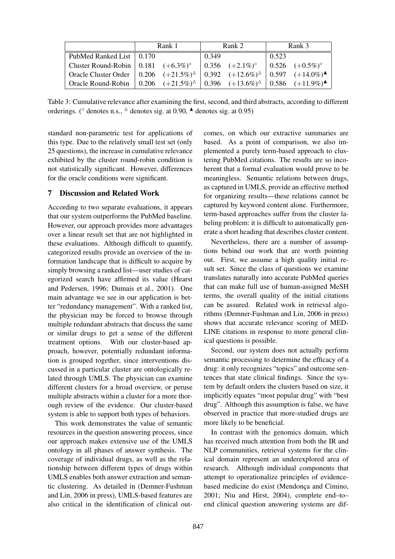|                                                                                                                                                                                                                                                                                | Rank 1 |       | Rank 2                              | Rank 3 |  |  |
|--------------------------------------------------------------------------------------------------------------------------------------------------------------------------------------------------------------------------------------------------------------------------------|--------|-------|-------------------------------------|--------|--|--|
| PubMed Ranked List   0.170                                                                                                                                                                                                                                                     |        | 0.349 |                                     | 0.523  |  |  |
| Cluster Round-Robin $\vert 0.181 \, (+6.3\%)^{\circ}$                                                                                                                                                                                                                          |        |       | 0.356 $(+2.1\%)$   0.526 $(+0.5\%)$ |        |  |  |
| Oracle Cluster Order   $0.206$ $(+21.5\%)^{\triangle}$   $0.392$ $(+12.6\%)^{\triangle}$   $0.597$ $(+14.0\%)^{\triangle}$                                                                                                                                                     |        |       |                                     |        |  |  |
| Oracle Round-Robin $\begin{array}{ l} 0.206 \\ \end{array}$ (+21.5%) <sup><math>\triangle</math></sup> $\begin{array}{ l} 0.396 \\ \end{array}$ (+13.6%) <sup><math>\triangle</math></sup> $\begin{array}{ l} 0.586 \\ \end{array}$ (+11.9%) <sup><math>\triangle</math></sup> |        |       |                                     |        |  |  |

Table 3: Cumulative relevance after examining the first, second, and third abstracts, according to different orderings. ( $\degree$  denotes n.s.,  $\triangle$  denotes sig. at 0.90,  $\blacktriangle$  denotes sig. at 0.95)

standard non-parametric test for applications of this type. Due to the relatively small test set (only 25 questions), the increase in cumulative relevance exhibited by the cluster round-robin condition is not statistically significant. However, differences for the oracle conditions were significant.

## 7 Discussion and Related Work

According to two separate evaluations, it appears that our system outperforms the PubMed baseline. However, our approach provides more advantages over a linear result set that are not highlighted in these evaluations. Although difficult to quantify, categorized results provide an overview of the information landscape that is difficult to acquire by simply browsing a ranked list—user studies of categorized search have affirmed its value (Hearst and Pedersen, 1996; Dumais et al., 2001). One main advantage we see in our application is better "redundancy management". With a ranked list, the physician may be forced to browse through multiple redundant abstracts that discuss the same or similar drugs to get a sense of the different treatment options. With our cluster-based approach, however, potentially redundant information is grouped together, since interventions discussed in a particular cluster are ontologically related through UMLS. The physician can examine different clusters for a broad overview, or peruse multiple abstracts within a cluster for a more thorough review of the evidence. Our cluster-based system is able to support both types of behaviors.

This work demonstrates the value of semantic resources in the question answering process, since our approach makes extensive use of the UMLS ontology in all phases of answer synthesis. The coverage of individual drugs, as well as the relationship between different types of drugs within UMLS enables both answer extraction and semantic clustering. As detailed in (Demner-Fushman and Lin, 2006 in press), UMLS-based features are also critical in the identification of clinical outcomes, on which our extractive summaries are based. As a point of comparison, we also implemented a purely term-based approach to clustering PubMed citations. The results are so incoherent that a formal evaluation would prove to be meaningless. Semantic relations between drugs, as captured in UMLS, provide an effective method for organizing results—these relations cannot be captured by keyword content alone. Furthermore, term-based approaches suffer from the cluster labeling problem: it is difficult to automatically generate a short heading that describes cluster content.

Nevertheless, there are a number of assumptions behind our work that are worth pointing out. First, we assume a high quality initial result set. Since the class of questions we examine translates naturally into accurate PubMed queries that can make full use of human-assigned MeSH terms, the overall quality of the initial citations can be assured. Related work in retrieval algorithms (Demner-Fushman and Lin, 2006 in press) shows that accurate relevance scoring of MED-LINE citations in response to more general clinical questions is possible.

Second, our system does not actually perform semantic processing to determine the efficacy of a drug: it only recognizes "topics" and outcome sentences that state clinical findings. Since the system by default orders the clusters based on size, it implicitly equates "most popular drug" with "best drug". Although this assumption is false, we have observed in practice that more-studied drugs are more likely to be beneficial.

In contrast with the genomics domain, which has received much attention from both the IR and NLP communities, retrieval systems for the clinical domain represent an underexplored area of research. Although individual components that attempt to operationalize principles of evidencebased medicine do exist (Mendonça and Cimino, 2001; Niu and Hirst, 2004), complete end–to– end clinical question answering systems are dif